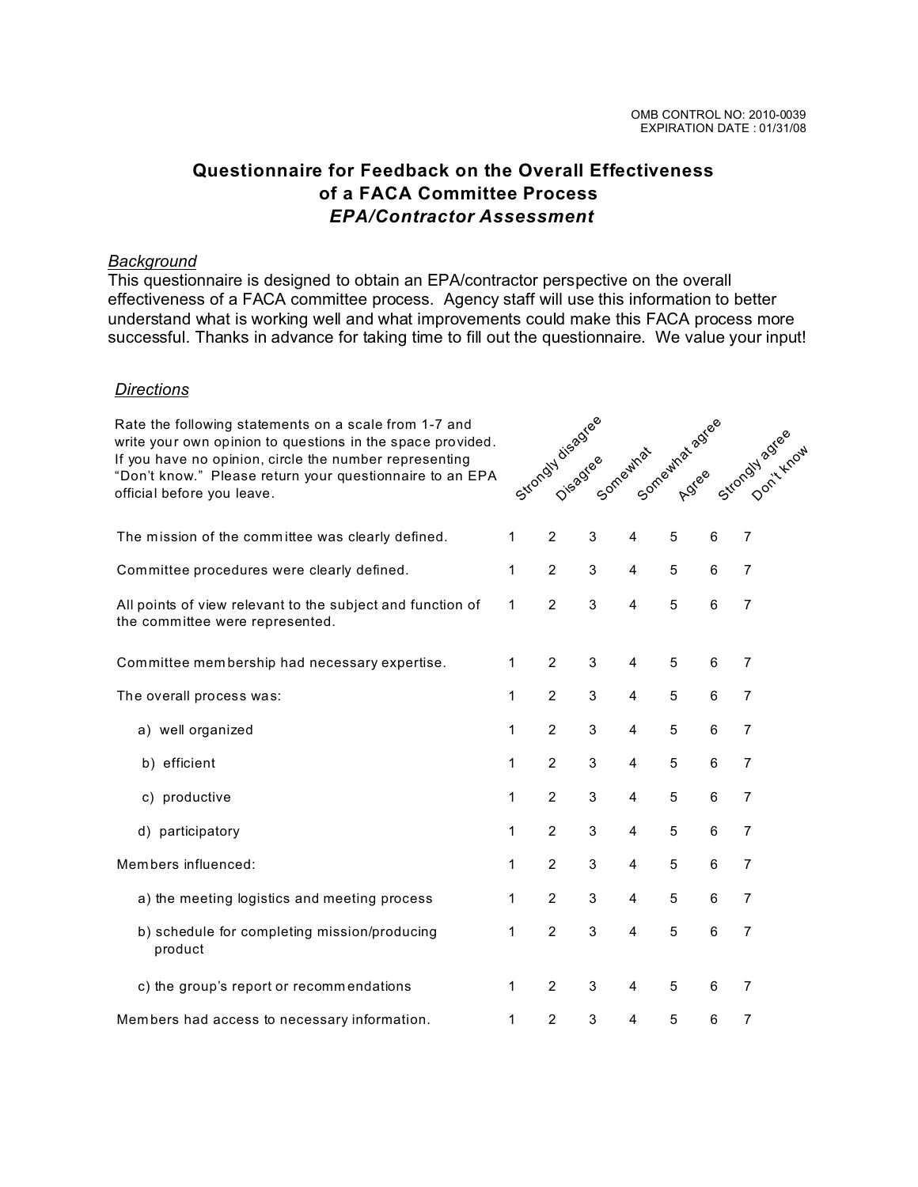Strongly disagree<br>Strongly disagree<br>Strongly disagreement and the strongly agreement of the cast

## **Questionnaire for Feedback on the Overall Effectiveness of a FACA Committee Process**  *EPA/Contractor Assessment*

## *Background*

This questionnaire is designed to obtain an EPA/contractor perspective on the overall effectiveness of a FACA committee process. Agency staff will use this information to better understand what is working well and what improvements could make this FACA process more successful. Thanks in advance for taking time to fill out the questionnaire. We value your input!

## *Directions*

Rate the following statements on a scale from 1-7 and write your own opinion to questions in the space provided. If you have no opinion, circle the number representing "Don't know." Please return your questionnaire to an EPA official before you leave.

| The mission of the committee was clearly defined.                                             | 1 | 2              | 3          | 4              | 5 | 6     | 7              |  |
|-----------------------------------------------------------------------------------------------|---|----------------|------------|----------------|---|-------|----------------|--|
| Committee procedures were clearly defined.                                                    | 1 | $\overline{2}$ | 3          | 4              | 5 | 6     | $\overline{7}$ |  |
| All points of view relevant to the subject and function of<br>the committee were represented. | 1 | $\overline{2}$ | 3          | $\overline{4}$ | 5 | 6     | $\overline{7}$ |  |
| Committee membership had necessary expertise.                                                 | 1 | $\overline{2}$ | 3          | 4              | 5 | 6     | 7              |  |
| The overall process was:                                                                      | 1 | $\overline{2}$ | 3          | 4              | 5 | 6     | $\overline{7}$ |  |
| a) well organized                                                                             | 1 | $\overline{2}$ | 3          | 4              | 5 | 6     | $\overline{7}$ |  |
| b) efficient                                                                                  | 1 | $\overline{2}$ | 3          | 4              | 5 | 6     | 7              |  |
| productive<br>C)                                                                              | 1 | $\overline{2}$ | 3          | 4              | 5 | 6     | $\overline{7}$ |  |
| d) participatory                                                                              | 1 | $\overline{2}$ | 3          | 4              | 5 | 6     | 7              |  |
| Members influenced:                                                                           | 1 | $\overline{2}$ | 3          | 4              | 5 | $\,6$ | 7              |  |
| a) the meeting logistics and meeting process                                                  | 1 | $\overline{2}$ | 3          | 4              | 5 | 6     | 7              |  |
| b) schedule for completing mission/producing<br>product                                       | 1 | $\overline{2}$ | 3          | 4              | 5 | 6     | $\overline{7}$ |  |
| c) the group's report or recommendations                                                      | 1 | $\overline{2}$ | $\sqrt{3}$ | 4              | 5 | 6     | 7              |  |
| Members had access to necessary information.                                                  | 1 | $\overline{c}$ | 3          | 4              | 5 | 6     | 7              |  |
|                                                                                               |   |                |            |                |   |       |                |  |